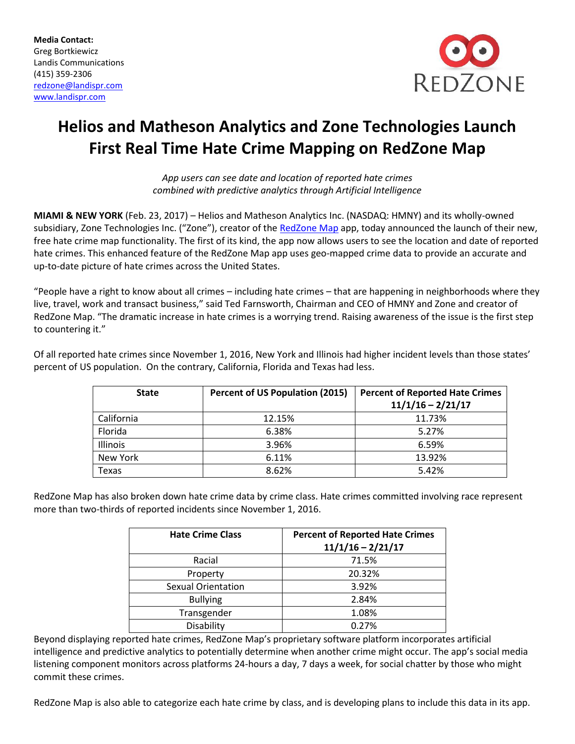**Media Contact:** Greg Bortkiewicz Landis Communications (415) 359-2306 [redzone@landispr.com](mailto:redzone@landispr.com) www.landispr.com



## **Helios and Matheson Analytics and Zone Technologies Launch First Real Time Hate Crime Mapping on RedZone Map**

*App users can see date and location of reported hate crimes combined with predictive analytics through Artificial Intelligence*

**MIAMI & NEW YORK** (Feb. 23, 2017) – Helios and Matheson Analytics Inc. (NASDAQ: HMNY) and its wholly-owned subsidiary, Zone Technologies Inc. ("Zone"), creator of the [RedZone Map](http://www.redzonemap.com/) app, today announced the launch of their new, free hate crime map functionality. The first of its kind, the app now allows users to see the location and date of reported hate crimes. This enhanced feature of the RedZone Map app uses geo-mapped crime data to provide an accurate and up-to-date picture of hate crimes across the United States.

"People have a right to know about all crimes – including hate crimes – that are happening in neighborhoods where they live, travel, work and transact business," said Ted Farnsworth, Chairman and CEO of HMNY and Zone and creator of RedZone Map. "The dramatic increase in hate crimes is a worrying trend. Raising awareness of the issue is the first step to countering it."

Of all reported hate crimes since November 1, 2016, New York and Illinois had higher incident levels than those states' percent of US population. On the contrary, California, Florida and Texas had less.

| <b>State</b>    | <b>Percent of US Population (2015)</b> | <b>Percent of Reported Hate Crimes</b><br>$11/1/16 - 2/21/17$ |
|-----------------|----------------------------------------|---------------------------------------------------------------|
| California      | 12.15%                                 | 11.73%                                                        |
| Florida         | 6.38%                                  | 5.27%                                                         |
| <b>Illinois</b> | 3.96%                                  | 6.59%                                                         |
| New York        | 6.11%                                  | 13.92%                                                        |
| Texas           | 8.62%                                  | 5.42%                                                         |

RedZone Map has also broken down hate crime data by crime class. Hate crimes committed involving race represent more than two-thirds of reported incidents since November 1, 2016.

| <b>Hate Crime Class</b>   | <b>Percent of Reported Hate Crimes</b><br>$11/1/16 - 2/21/17$ |
|---------------------------|---------------------------------------------------------------|
| Racial                    | 71.5%                                                         |
| Property                  | 20.32%                                                        |
| <b>Sexual Orientation</b> | 3.92%                                                         |
| <b>Bullying</b>           | 2.84%                                                         |
| Transgender               | 1.08%                                                         |
| Disability                | 0.27%                                                         |

Beyond displaying reported hate crimes, RedZone Map's proprietary software platform incorporates artificial intelligence and predictive analytics to potentially determine when another crime might occur. The app's social media listening component monitors across platforms 24-hours a day, 7 days a week, for social chatter by those who might commit these crimes.

RedZone Map is also able to categorize each hate crime by class, and is developing plans to include this data in its app.